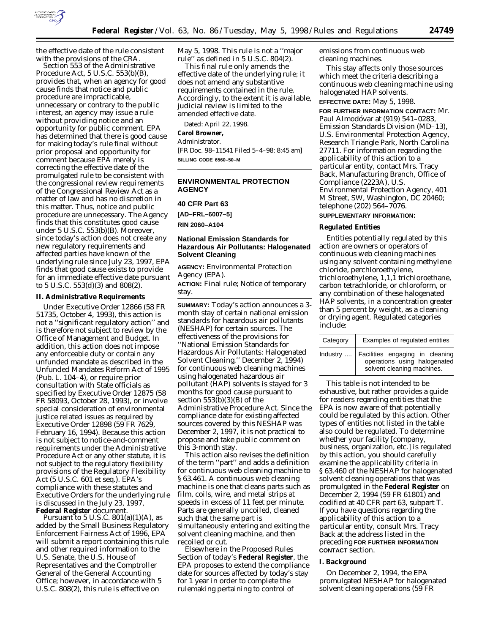

Section 553 of the Administrative Procedure Act, 5 U.S.C. 553(b)(B), provides that, when an agency for good cause finds that notice and public procedure are impracticable, unnecessary or contrary to the public interest, an agency may issue a rule without providing notice and an opportunity for public comment. EPA has determined that there is good cause for making today's rule final without prior proposal and opportunity for comment because EPA merely is correcting the effective date of the promulgated rule to be consistent with the congressional review requirements of the Congressional Review Act as a matter of law and has no discretion in this matter. Thus, notice and public procedure are unnecessary. The Agency finds that this constitutes good cause under 5 U.S.C. 553(b)(B). Moreover, since today's action does not create any new regulatory requirements and affected parties have known of the underlying rule since July 23, 1997, EPA finds that good cause exists to provide for an immediate effective date pursuant to 5 U.S.C. 553(d)(3) and 808(2).

#### **II. Administrative Requirements**

Under Executive Order 12866 (58 FR 51735, October 4, 1993), this action is not a ''significant regulatory action'' and is therefore not subject to review by the Office of Management and Budget. In addition, this action does not impose any enforceable duty or contain any unfunded mandate as described in the Unfunded Mandates Reform Act of 1995 (Pub. L. 104–4), or require prior consultation with State officials as specified by Executive Order 12875 (58 FR 58093, October 28, 1993), or involve special consideration of environmental justice related issues as required by Executive Order 12898 (59 FR 7629, February 16, 1994). Because this action is not subject to notice-and-comment requirements under the Administrative Procedure Act or any other statute, it is not subject to the regulatory flexibility provisions of the Regulatory Flexibility Act (5 U.S.C. 601 *et seq.*). EPA's compliance with these statutes and Executive Orders for the underlying rule is discussed in the July 23, 1997, **Federal Register** document.

Pursuant to 5 U.S.C.  $801(a)(1)(A)$ , as added by the Small Business Regulatory Enforcement Fairness Act of 1996, EPA will submit a report containing this rule and other required information to the U.S. Senate, the U.S. House of Representatives and the Comptroller General of the General Accounting Office; however, in accordance with 5 U.S.C. 808(2), this rule is effective on

May 5, 1998. This rule is not a ''major rule'' as defined in 5 U.S.C. 804(2).

This final rule only amends the effective date of the underlying rule; it does not amend any substantive requirements contained in the rule. Accordingly, to the extent it is available, judicial review is limited to the amended effective date.

Dated: April 22, 1998.

# **Carol Browner,**

### *Administrator.*

[FR Doc. 98–11541 Filed 5–4–98; 8:45 am] **BILLING CODE 6560–50–M**

# **ENVIRONMENTAL PROTECTION AGENCY**

#### **40 CFR Part 63**

**[AD–FRL–6007–5]**

**RIN 2060–A104**

# **National Emission Standards for Hazardous Air Pollutants: Halogenated Solvent Cleaning**

**AGENCY:** Environmental Protection Agency (EPA).

**ACTION:** Final rule; Notice of temporary stay.

**SUMMARY:** Today's action announces a 3 month stay of certain national emission standards for hazardous air pollutants (NESHAP) for certain sources. The effectiveness of the provisions for ''National Emission Standards for Hazardous Air Pollutants: Halogenated Solvent Cleaning,'' December 2, 1994) for continuous web cleaning machines using halogenated hazardous air pollutant (HAP) solvents is stayed for 3 months for good cause pursuant to section  $553(b)(3)(B)$  of the Administrative Procedure Act. Since the compliance date for existing affected sources covered by this NESHAP was December 2, 1997, it is not practical to propose and take public comment on this 3-month stay.

This action also revises the definition of the term ''part'' and adds a definition for continuous web cleaning machine to § 63.461. A continuous web cleaning machine is one that cleans parts such as film, coils, wire, and metal strips at speeds in excess of 11 feet per minute. Parts are generally uncoiled, cleaned such that the same part is simultaneously entering and exiting the solvent cleaning machine, and then recoiled or cut.

Elsewhere in the Proposed Rules Section of today's **Federal Register**, the EPA proposes to extend the compliance date for sources affected by today's stay for 1 year in order to complete the rulemaking pertaining to control of

emissions from continuous web cleaning machines.

This stay affects only those sources which meet the criteria describing a continuous web cleaning machine using halogenated HAP solvents.

**EFFECTIVE DATE:** May 5, 1998.

**FOR FURTHER INFORMATION CONTACT:** Mr. Paul Almodóvar at (919) 541-0283, Emission Standards Division (MD–13), U.S. Environmental Protection Agency, Research Triangle Park, North Carolina 27711. For information regarding the applicability of this action to a particular entity, contact Mrs. Tracy Back, Manufacturing Branch, Office of Compliance (2223A), U.S. Environmental Protection Agency, 401 M Street, SW, Washington, DC 20460; telephone (202) 564–7076.

# **SUPPLEMENTARY INFORMATION:**

### **Regulated Entities**

Entities potentially regulated by this action are owners or operators of continuous web cleaning machines using any solvent containing methylene chloride, perchloroethylene, trichloroethylene, 1,1,1 trichloroethane, carbon tetrachloride, or chloroform, or any combination of these halogenated HAP solvents, in a concentration greater than 5 percent by weight, as a cleaning or drying agent. Regulated categories include:

| Category | Examples of regulated entities                                                                            |
|----------|-----------------------------------------------------------------------------------------------------------|
|          | Industry    Facilities engaging in cleaning<br>operations using halogenated<br>solvent cleaning machines. |

This table is not intended to be exhaustive, but rather provides a guide for readers regarding entities that the EPA is now aware of that potentially could be regulated by this action. Other types of entities not listed in the table also could be regulated. To determine whether your facility [company, business, organization, etc.] is regulated by this action, you should carefully examine the applicability criteria in § 63.460 of the NESHAP for halogenated solvent cleaning operations that was promulgated in the **Federal Register** on December 2, 1994 (59 FR 61801) and codified at 40 CFR part 63, subpart T. If you have questions regarding the applicability of this action to a particular entity, consult Mrs. Tracy Back at the address listed in the preceding **FOR FURTHER INFORMATION CONTACT** section.

#### **I. Background**

On December 2, 1994, the EPA promulgated NESHAP for halogenated solvent cleaning operations (59 FR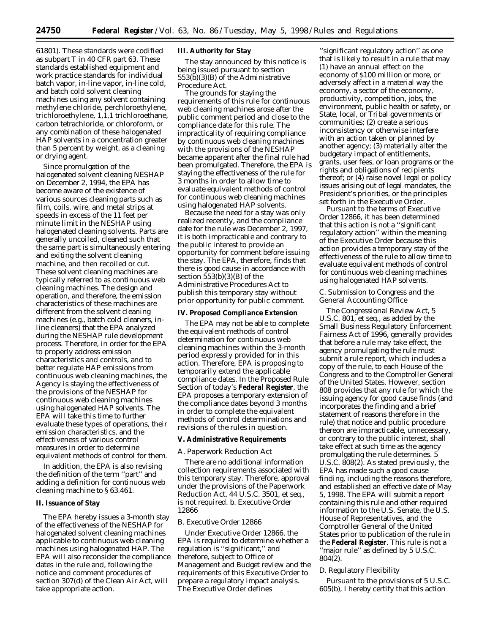61801). These standards were codified as subpart T in 40 CFR part 63. These standards established equipment and work practice standards for individual batch vapor, in-line vapor, in-line cold, and batch cold solvent cleaning machines using any solvent containing methylene chloride, perchloroethylene, trichloroethylene, 1,1,1 trichloroethane, carbon tetrachloride, or chloroform, or any combination of these halogenated HAP solvents in a concentration greater than 5 percent by weight, as a cleaning or drying agent.

Since promulgation of the halogenated solvent cleaning NESHAP on December 2, 1994, the EPA has become aware of the existence of various sources cleaning parts such as film, coils, wire, and metal strips at speeds in excess of the 11 feet per minute limit in the NESHAP using halogenated cleaning solvents. Parts are generally uncoiled, cleaned such that the same part is simultaneously entering and exiting the solvent cleaning machine, and then recoiled or cut. These solvent cleaning machines are typically referred to as continuous web cleaning machines. The design and operation, and therefore, the emission characteristics of these machines are different from the solvent cleaning machines (e.g., batch cold cleaners, inline cleaners) that the EPA analyzed during the NESHAP rule development process. Therefore, in order for the EPA to properly address emission characteristics and controls, and to better regulate HAP emissions from continuous web cleaning machines, the Agency is staying the effectiveness of the provisions of the NESHAP for continuous web cleaning machines using halogenated HAP solvents. The EPA will take this time to further evaluate these types of operations, their emission characteristics, and the effectiveness of various control measures in order to determine equivalent methods of control for them.

In addition, the EPA is also revising the definition of the term ''part'' and adding a definition for continuous web cleaning machine to § 63.461.

# **II. Issuance of Stay**

The EPA hereby issues a 3-month stay of the effectiveness of the NESHAP for halogenated solvent cleaning machines applicable to continuous web cleaning machines using halogenated HAP. The EPA will also reconsider the compliance dates in the rule and, following the notice and comment procedures of section 307(d) of the Clean Air Act, will take appropriate action.

#### **III. Authority for Stay**

The stay announced by this notice is being issued pursuant to section  $553(b)(3)(B)$  of the Administrative Procedure Act.

The grounds for staying the requirements of this rule for continuous web cleaning machines arose after the public comment period and close to the compliance date for this rule. The impracticality of requiring compliance by continuous web cleaning machines with the provisions of the NESHAP became apparent after the final rule had been promulgated. Therefore, the EPA is staying the effectiveness of the rule for 3 months in order to allow time to evaluate equivalent methods of control for continuous web cleaning machines using halogenated HAP solvents.

Because the need for a stay was only realized recently, and the compliance date for the rule was December 2, 1997, it is both impracticable and contrary to the public interest to provide an opportunity for comment before issuing the stay. The EPA, therefore, finds that there is good cause in accordance with section 553(b)(3)(B) of the Administrative Procedures Act to publish this temporary stay without prior opportunity for public comment.

## **IV. Proposed Compliance Extension**

The EPA may not be able to complete the equivalent methods of control determination for continuous web cleaning machines within the 3-month period expressly provided for in this action. Therefore, EPA is proposing to temporarily extend the applicable compliance dates. In the Proposed Rule Section of today's **Federal Register**, the EPA proposes a temporary extension of the compliance dates beyond 3 months in order to complete the equivalent methods of control determinations and revisions of the rules in question.

#### **V. Administrative Requirements**

#### *A. Paperwork Reduction Act*

There are no additional information collection requirements associated with this temporary stay. Therefore, approval under the provisions of the Paperwork Reduction Act, 44 U.S.C. 3501, *et seq.*, is not required. b. Executive Order 12866

### *B. Executive Order 12866*

Under Executive Order 12866, the EPA is required to determine whether a regulation is ''significant,'' and therefore, subject to Office of Management and Budget review and the requirements of this Executive Order to prepare a regulatory impact analysis. The Executive Order defines

''significant regulatory action'' as one that is likely to result in a rule that may (1) have an annual effect on the economy of \$100 million or more, or adversely affect in a material way the economy, a sector of the economy, productivity, competition, jobs, the environment, public health or safety, or State, local, or Tribal governments or communities; (2) create a serious inconsistency or otherwise interfere with an action taken or planned by another agency; (3) materially alter the budgetary impact of entitlements, grants, user fees, or loan programs or the rights and obligations of recipients thereof; or (4) raise novel legal or policy issues arising out of legal mandates, the President's priorities, or the principles set forth in the Executive Order.

Pursuant to the terms of Executive Order 12866, it has been determined that this action is not a ''significant regulatory action'' within the meaning of the Executive Order because this action provides a temporary stay of the effectiveness of the rule to allow time to evaluate equivalent methods of control for continuous web cleaning machines using halogenated HAP solvents.

#### *C. Submission to Congress and the General Accounting Office*

The Congressional Review Act, 5 U.S.C. 801, *et seq.*, as added by the Small Business Regulatory Enforcement Fairness Act of 1996, generally provides that before a rule may take effect, the agency promulgating the rule must submit a rule report, which includes a copy of the rule, to each House of the Congress and to the Comptroller General of the United States. However, section 808 provides that any rule for which the issuing agency for good cause finds (and incorporates the finding and a brief statement of reasons therefore in the rule) that notice and public procedure thereon are impracticable, unnecessary, or contrary to the public interest, shall take effect at such time as the agency promulgating the rule determines. 5 U.S.C. 808(2). As stated previously, the EPA has made such a good cause finding, including the reasons therefore, and established an effective date of May 5, 1998. The EPA will submit a report containing this rule and other required information to the U.S. Senate, the U.S. House of Representatives, and the Comptroller General of the United States prior to publication of the rule in the **Federal Register**. This rule is not a ''major rule'' as defined by 5 U.S.C. 804(2).

#### *D. Regulatory Flexibility*

Pursuant to the provisions of 5 U.S.C. 605(b), I hereby certify that this action